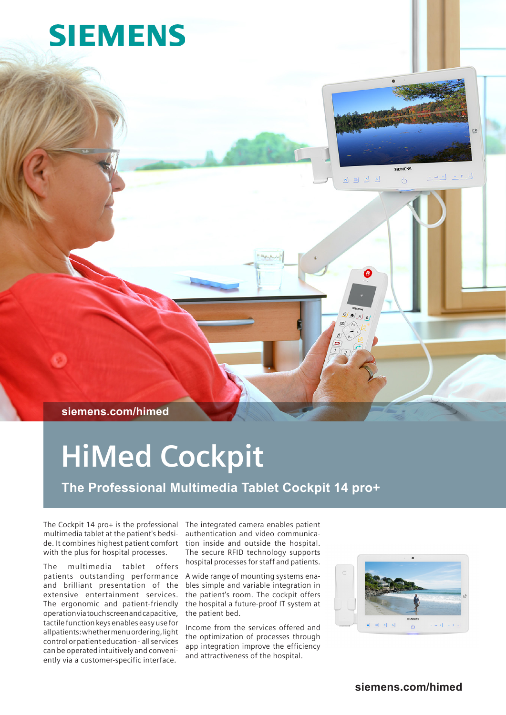# **SIEMENS**



 $\overline{\partial}$ 

 $\begin{array}{c} \begin{array}{c} \begin{array}{c} \end{array} & \mathsf{P} \end{array} \end{array} \begin{array}{c} \begin{array}{c} \end{array} \end{array}$ 

 $-1$ 

**siemens.com/himed**

# **HiMed Cockpit**

**The Professional Multimedia Tablet Cockpit 14 pro+**

The Cockpit 14 pro+ is the professional The integrated camera enables patient multimedia tablet at the patient's bedside. It combines highest patient comfort with the plus for hospital processes.

The multimedia tablet offers patients outstanding performance and brilliant presentation of the extensive entertainment services. The ergonomic and patient-friendly operation via touch screen and capacitive, tactile function keys enables easy use for all patients: whether menu ordering, light control or patient education - all services can be operated intuitively and conveniently via a customer-specific interface.

authentication and video communication inside and outside the hospital. The secure RFID technology supports hospital processes for staff and patients.

A wide range of mounting systems enables simple and variable integration in the patient's room. The cockpit offers the hospital a future-proof IT system at the patient bed.

Income from the services offered and the optimization of processes through app integration improve the efficiency and attractiveness of the hospital.